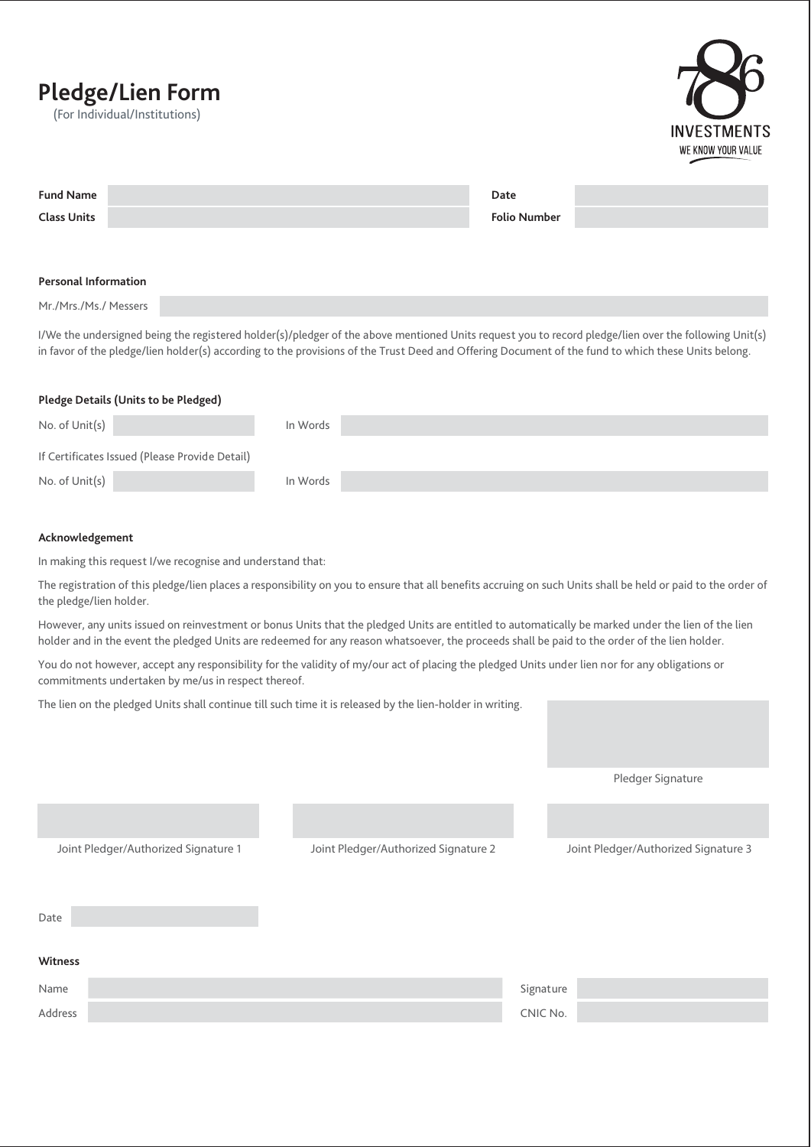# **Pledge/Lien Form**

(For Individual/Institutions)



| <b>Fund Name</b>            | Date                |  |
|-----------------------------|---------------------|--|
| <b>Class Units</b>          | <b>Folio Number</b> |  |
|                             |                     |  |
|                             |                     |  |
| <b>Personal Information</b> |                     |  |

Mr./Mrs./Ms./ Messers

I/We the undersigned being the registered holder(s)/pledger of the above mentioned Units request you to record pledge/lien over the following Unit(s) in favor of the pledge/lien holder(s) according to the provisions of the Trust Deed and Offering Document of the fund to which these Units belong.

#### **Pledge Details (Units to be Pledged)**

| No. of Unit(s)                                 | In Words |
|------------------------------------------------|----------|
| If Certificates Issued (Please Provide Detail) |          |
| No. of Unit(s)                                 | In Words |

#### **Acknowledgement**

In making this request I/we recognise and understand that:

The registration of this pledge/lien places a responsibility on you to ensure that all benefits accruing on such Units shall be held or paid to the order of the pledge/lien holder.

However, any units issued on reinvestment or bonus Units that the pledged Units are entitled to automatically be marked under the lien of the lien holder and in the event the pledged Units are redeemed for any reason whatsoever, the proceeds shall be paid to the order of the lien holder.

You do not however, accept any responsibility for the validity of my/our act of placing the pledged Units under lien nor for any obligations or commitments undertaken by me/us in respect thereof.

The lien on the pledged Units shall continue till such time it is released by the lien-holder in writing.

Pledger Signature

Name Signature (September 2008) and the state of the state of the state of the Signature (Signature Address **CNIC No. 2012 CNIC No. 2012 12:00:00 PM CNIC No. 2014 12:00:00 PM CNIC No. Witness** Joint Pledger/Authorized Signature 1 Joint Pledger/Authorized Signature 2 Joint Pledger/Authorized Signature 3 Date